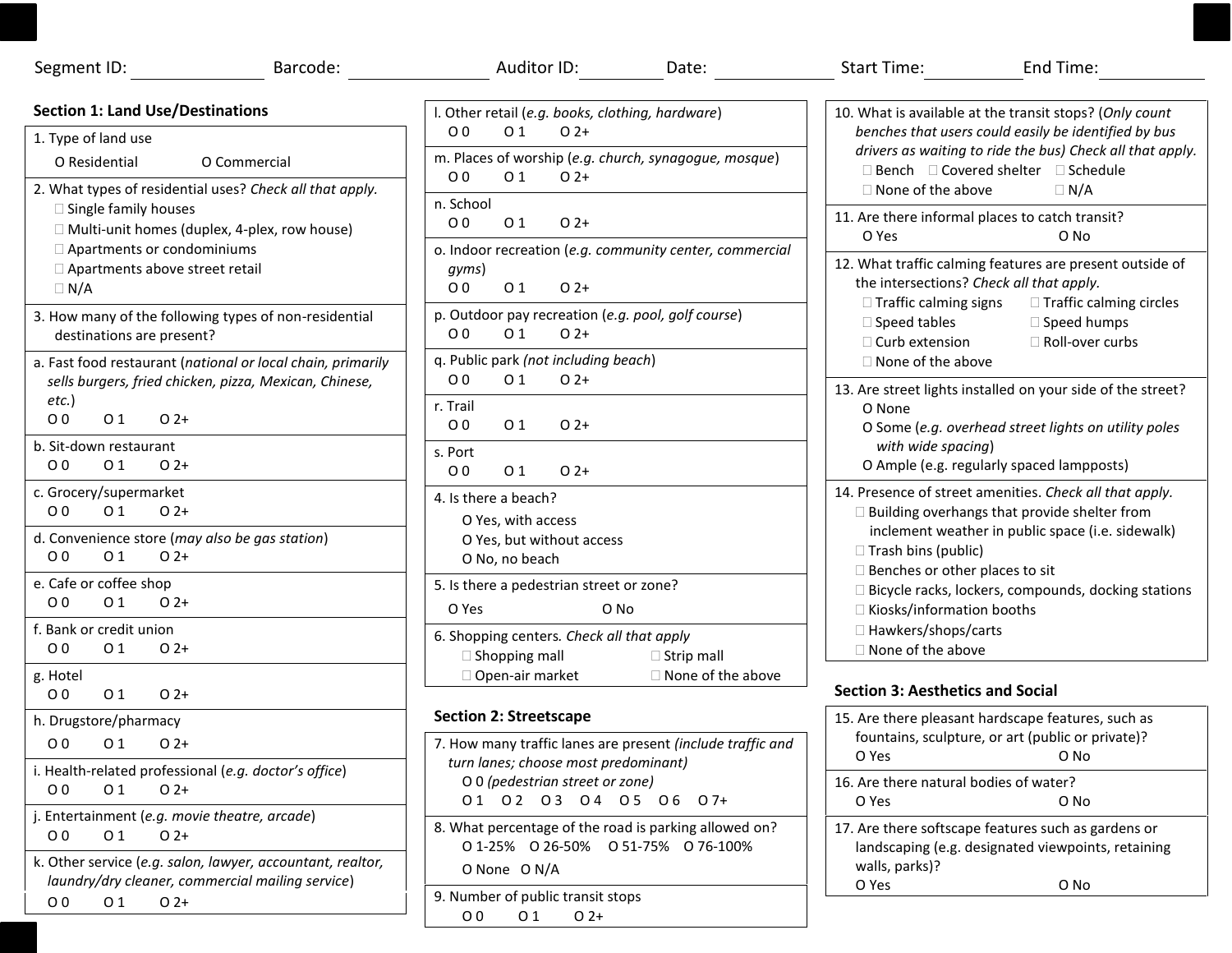| Segment ID:                                                                                                                                                                                                          | Barcode: | Auditor ID:                                                                                                                                                                                                                                                                                  | Date: | Start Time: Start Time:                                                                                                                                                                                                             | End Time: |  |
|----------------------------------------------------------------------------------------------------------------------------------------------------------------------------------------------------------------------|----------|----------------------------------------------------------------------------------------------------------------------------------------------------------------------------------------------------------------------------------------------------------------------------------------------|-------|-------------------------------------------------------------------------------------------------------------------------------------------------------------------------------------------------------------------------------------|-----------|--|
| <b>Section 1: Land Use/Destinations</b><br>1. Type of land use<br>O Residential<br>O Commercial                                                                                                                      |          | I. Other retail (e.g. books, clothing, hardware)<br>0 <sub>0</sub><br>O <sub>1</sub><br>$O(2+)$<br>m. Places of worship (e.g. church, synagogue, mosque)<br>O <sub>0</sub><br>O <sub>1</sub><br>$O(2+)$                                                                                      |       | 10. What is available at the transit stops? (Only count<br>benches that users could easily be identified by bus<br>drivers as waiting to ride the bus) Check all that apply.<br>$\Box$ Bench $\Box$ Covered shelter $\Box$ Schedule |           |  |
| 2. What types of residential uses? Check all that apply.<br>□ Single family houses<br>□ Multi-unit homes (duplex, 4-plex, row house)<br>Apartments or condominiums<br>□ Apartments above street retail<br>$\Box N/A$ |          | n. School<br>0 <sub>0</sub><br>$O(2+)$<br>01<br>o. Indoor recreation (e.g. community center, commercial                                                                                                                                                                                      |       | □ None of the above<br>$\Box N/A$<br>11. Are there informal places to catch transit?<br>O Yes<br>O No                                                                                                                               |           |  |
|                                                                                                                                                                                                                      |          | gyms)<br>0 <sub>0</sub><br>O <sub>1</sub><br>$O(2+)$<br>p. Outdoor pay recreation (e.g. pool, golf course)<br>O <sub>0</sub><br>O <sub>1</sub><br>$O(2+)$<br>q. Public park (not including beach)                                                                                            |       | 12. What traffic calming features are present outside of<br>the intersections? Check all that apply.<br>$\Box$ Traffic calming signs<br>□ Traffic calming circles                                                                   |           |  |
| 3. How many of the following types of non-residential<br>destinations are present?<br>a. Fast food restaurant (national or local chain, primarily                                                                    |          |                                                                                                                                                                                                                                                                                              |       | $\Box$ Speed tables<br>$\Box$ Speed humps<br>□ Roll-over curbs<br>$\Box$ Curb extension<br>□ None of the above                                                                                                                      |           |  |
| sells burgers, fried chicken, pizza, Mexican, Chinese,<br>$etc.$ )<br>O <sub>0</sub><br>O <sub>1</sub><br>$0.2+$                                                                                                     |          | O <sub>0</sub><br>O <sub>1</sub><br>$O(2+)$<br>r. Trail<br>$O(2+)$<br>00<br>01                                                                                                                                                                                                               |       | 13. Are street lights installed on your side of the street?<br>O None<br>O Some (e.g. overhead street lights on utility poles                                                                                                       |           |  |
| b. Sit-down restaurant<br>O <sub>0</sub><br>0 <sub>1</sub><br>$02+$                                                                                                                                                  |          | s. Port<br>O <sub>0</sub><br>O 1<br>$O(2+)$                                                                                                                                                                                                                                                  |       | with wide spacing)<br>O Ample (e.g. regularly spaced lampposts)                                                                                                                                                                     |           |  |
| c. Grocery/supermarket<br>0 <sub>0</sub><br>O <sub>1</sub><br>$O(2+)$<br>d. Convenience store (may also be gas station)<br>O <sub>0</sub><br>0 <sub>1</sub><br>$0.2+$                                                |          | 4. Is there a beach?<br>O Yes, with access<br>O Yes, but without access<br>O No, no beach<br>5. Is there a pedestrian street or zone?<br>O Yes<br>O No<br>6. Shopping centers. Check all that apply<br>$\Box$ Shopping mall<br>$\Box$ Strip mall<br>□ Open-air market<br>□ None of the above |       | 14. Presence of street amenities. Check all that apply.<br>□ Building overhangs that provide shelter from<br>inclement weather in public space (i.e. sidewalk)<br>□ Trash bins (public)                                             |           |  |
| e. Cafe or coffee shop<br>O <sub>0</sub><br>O <sub>1</sub><br>$02+$                                                                                                                                                  |          |                                                                                                                                                                                                                                                                                              |       | $\Box$ Benches or other places to sit<br>$\Box$ Bicycle racks, lockers, compounds, docking stations<br>□ Kiosks/information booths                                                                                                  |           |  |
| f. Bank or credit union<br>O <sub>0</sub><br>O 1<br>$O(2+)$                                                                                                                                                          |          |                                                                                                                                                                                                                                                                                              |       | □ Hawkers/shops/carts<br>$\Box$ None of the above                                                                                                                                                                                   |           |  |
| g. Hotel<br>0 <sub>0</sub><br>O 1<br>$O(2+)$                                                                                                                                                                         |          |                                                                                                                                                                                                                                                                                              |       | <b>Section 3: Aesthetics and Social</b>                                                                                                                                                                                             |           |  |
| h. Drugstore/pharmacy<br>0 <sub>0</sub><br>O <sub>1</sub><br>$O(2+)$<br>i. Health-related professional (e.g. doctor's office)<br>0 <sub>0</sub><br>O 1<br>$O2+$                                                      |          | <b>Section 2: Streetscape</b><br>7. How many traffic lanes are present (include traffic and<br>turn lanes; choose most predominant)<br>O 0 (pedestrian street or zone)<br>01 02 03 04 05 06 07+                                                                                              |       | 15. Are there pleasant hardscape features, such as<br>fountains, sculpture, or art (public or private)?<br>O Yes<br>O No                                                                                                            |           |  |
|                                                                                                                                                                                                                      |          |                                                                                                                                                                                                                                                                                              |       | 16. Are there natural bodies of water?<br>O Yes<br>O No                                                                                                                                                                             |           |  |
| Entertainment (e.g. movie theatre, arcade)<br>0 <sub>0</sub><br>O 1<br>$O(2+)$<br>k. Other service (e.g. salon, lawyer, accountant, realtor,<br>laundry/dry cleaner, commercial mailing service)                     |          | 8. What percentage of the road is parking allowed on?<br>0 1-25% 0 26-50% 0 51-75% 0 76-100%<br>O None O N/A                                                                                                                                                                                 |       | 17. Are there softscape features such as gardens or<br>landscaping (e.g. designated viewpoints, retaining<br>walls, parks)?<br>O Yes<br>O No                                                                                        |           |  |
| 0 <sub>0</sub><br>01<br>$O(2+)$                                                                                                                                                                                      |          | 9. Number of public transit stops<br>0 <sub>0</sub><br>O <sub>1</sub><br>$O2+$                                                                                                                                                                                                               |       |                                                                                                                                                                                                                                     |           |  |